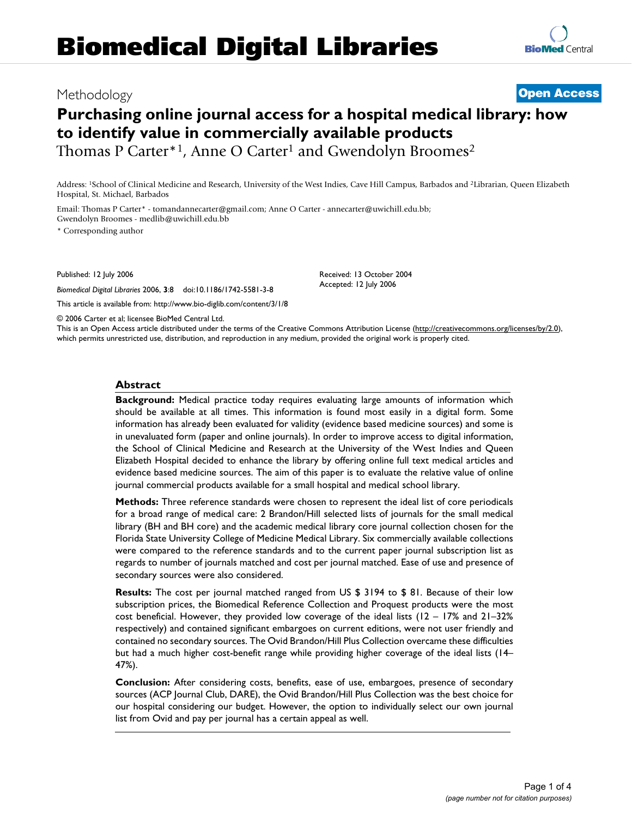# Methodology **Open Access**

# **Purchasing online journal access for a hospital medical library: how to identify value in commercially available products** Thomas P Carter<sup>\*1</sup>, Anne O Carter<sup>1</sup> and Gwendolyn Broomes<sup>2</sup>

Address: 1School of Clinical Medicine and Research, University of the West Indies, Cave Hill Campus, Barbados and 2Librarian, Queen Elizabeth Hospital, St. Michael, Barbados

Email: Thomas P Carter\* - tomandannecarter@gmail.com; Anne O Carter - annecarter@uwichill.edu.bb; Gwendolyn Broomes - medlib@uwichill.edu.bb

\* Corresponding author

Published: 12 July 2006

*Biomedical Digital Libraries* 2006, **3**:8 doi:10.1186/1742-5581-3-8

This article is available from: http://www.bio-diglib.com/content/3/1/8

© 2006 Carter et al; licensee BioMed Central Ltd.

This is an Open Access article distributed under the terms of the Creative Commons Attribution License (http://creativecommons.org/licenses/by/2.0), which permits unrestricted use, distribution, and reproduction in any medium, provided the original work is properly cited.

Received: 13 October 2004 Accepted: 12 July 2006

## **Abstract**

**Background:** Medical practice today requires evaluating large amounts of information which should be available at all times. This information is found most easily in a digital form. Some information has already been evaluated for validity (evidence based medicine sources) and some is in unevaluated form (paper and online journals). In order to improve access to digital information, the School of Clinical Medicine and Research at the University of the West Indies and Queen Elizabeth Hospital decided to enhance the library by offering online full text medical articles and evidence based medicine sources. The aim of this paper is to evaluate the relative value of online journal commercial products available for a small hospital and medical school library.

**Methods:** Three reference standards were chosen to represent the ideal list of core periodicals for a broad range of medical care: 2 Brandon/Hill selected lists of journals for the small medical library (BH and BH core) and the academic medical library core journal collection chosen for the Florida State University College of Medicine Medical Library. Six commercially available collections were compared to the reference standards and to the current paper journal subscription list as regards to number of journals matched and cost per journal matched. Ease of use and presence of secondary sources were also considered.

**Results:** The cost per journal matched ranged from US \$ 3194 to \$ 81. Because of their low subscription prices, the Biomedical Reference Collection and Proquest products were the most cost beneficial. However, they provided low coverage of the ideal lists (12 – 17% and 21–32% respectively) and contained significant embargoes on current editions, were not user friendly and contained no secondary sources. The Ovid Brandon/Hill Plus Collection overcame these difficulties but had a much higher cost-benefit range while providing higher coverage of the ideal lists (14– 47%).

**Conclusion:** After considering costs, benefits, ease of use, embargoes, presence of secondary sources (ACP Journal Club, DARE), the Ovid Brandon/Hill Plus Collection was the best choice for our hospital considering our budget. However, the option to individually select our own journal list from Ovid and pay per journal has a certain appeal as well.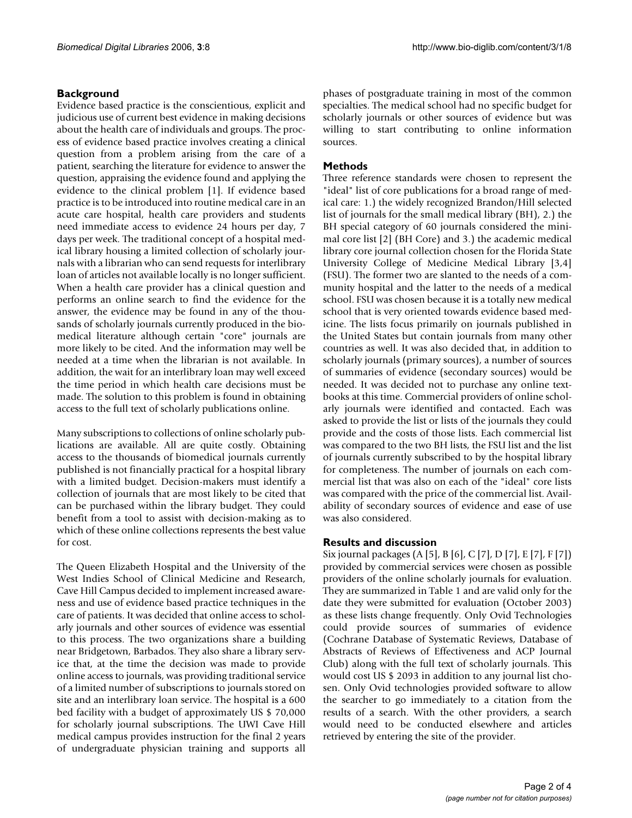# **Background**

Evidence based practice is the conscientious, explicit and judicious use of current best evidence in making decisions about the health care of individuals and groups. The process of evidence based practice involves creating a clinical question from a problem arising from the care of a patient, searching the literature for evidence to answer the question, appraising the evidence found and applying the evidence to the clinical problem [1]. If evidence based practice is to be introduced into routine medical care in an acute care hospital, health care providers and students need immediate access to evidence 24 hours per day, 7 days per week. The traditional concept of a hospital medical library housing a limited collection of scholarly journals with a librarian who can send requests for interlibrary loan of articles not available locally is no longer sufficient. When a health care provider has a clinical question and performs an online search to find the evidence for the answer, the evidence may be found in any of the thousands of scholarly journals currently produced in the biomedical literature although certain "core" journals are more likely to be cited. And the information may well be needed at a time when the librarian is not available. In addition, the wait for an interlibrary loan may well exceed the time period in which health care decisions must be made. The solution to this problem is found in obtaining access to the full text of scholarly publications online.

Many subscriptions to collections of online scholarly publications are available. All are quite costly. Obtaining access to the thousands of biomedical journals currently published is not financially practical for a hospital library with a limited budget. Decision-makers must identify a collection of journals that are most likely to be cited that can be purchased within the library budget. They could benefit from a tool to assist with decision-making as to which of these online collections represents the best value for cost.

The Queen Elizabeth Hospital and the University of the West Indies School of Clinical Medicine and Research, Cave Hill Campus decided to implement increased awareness and use of evidence based practice techniques in the care of patients. It was decided that online access to scholarly journals and other sources of evidence was essential to this process. The two organizations share a building near Bridgetown, Barbados. They also share a library service that, at the time the decision was made to provide online access to journals, was providing traditional service of a limited number of subscriptions to journals stored on site and an interlibrary loan service. The hospital is a 600 bed facility with a budget of approximately US \$ 70,000 for scholarly journal subscriptions. The UWI Cave Hill medical campus provides instruction for the final 2 years of undergraduate physician training and supports all

phases of postgraduate training in most of the common specialties. The medical school had no specific budget for scholarly journals or other sources of evidence but was willing to start contributing to online information sources.

# **Methods**

Three reference standards were chosen to represent the "ideal" list of core publications for a broad range of medical care: 1.) the widely recognized Brandon/Hill selected list of journals for the small medical library (BH), 2.) the BH special category of 60 journals considered the minimal core list [2] (BH Core) and 3.) the academic medical library core journal collection chosen for the Florida State University College of Medicine Medical Library [3,4] (FSU). The former two are slanted to the needs of a community hospital and the latter to the needs of a medical school. FSU was chosen because it is a totally new medical school that is very oriented towards evidence based medicine. The lists focus primarily on journals published in the United States but contain journals from many other countries as well. It was also decided that, in addition to scholarly journals (primary sources), a number of sources of summaries of evidence (secondary sources) would be needed. It was decided not to purchase any online textbooks at this time. Commercial providers of online scholarly journals were identified and contacted. Each was asked to provide the list or lists of the journals they could provide and the costs of those lists. Each commercial list was compared to the two BH lists, the FSU list and the list of journals currently subscribed to by the hospital library for completeness. The number of journals on each commercial list that was also on each of the "ideal" core lists was compared with the price of the commercial list. Availability of secondary sources of evidence and ease of use was also considered.

## **Results and discussion**

Six journal packages (A [5], B [6], C [7], D [7], E [7], F [7]) provided by commercial services were chosen as possible providers of the online scholarly journals for evaluation. They are summarized in Table 1 and are valid only for the date they were submitted for evaluation (October 2003) as these lists change frequently. Only Ovid Technologies could provide sources of summaries of evidence (Cochrane Database of Systematic Reviews, Database of Abstracts of Reviews of Effectiveness and ACP Journal Club) along with the full text of scholarly journals. This would cost US \$ 2093 in addition to any journal list chosen. Only Ovid technologies provided software to allow the searcher to go immediately to a citation from the results of a search. With the other providers, a search would need to be conducted elsewhere and articles retrieved by entering the site of the provider.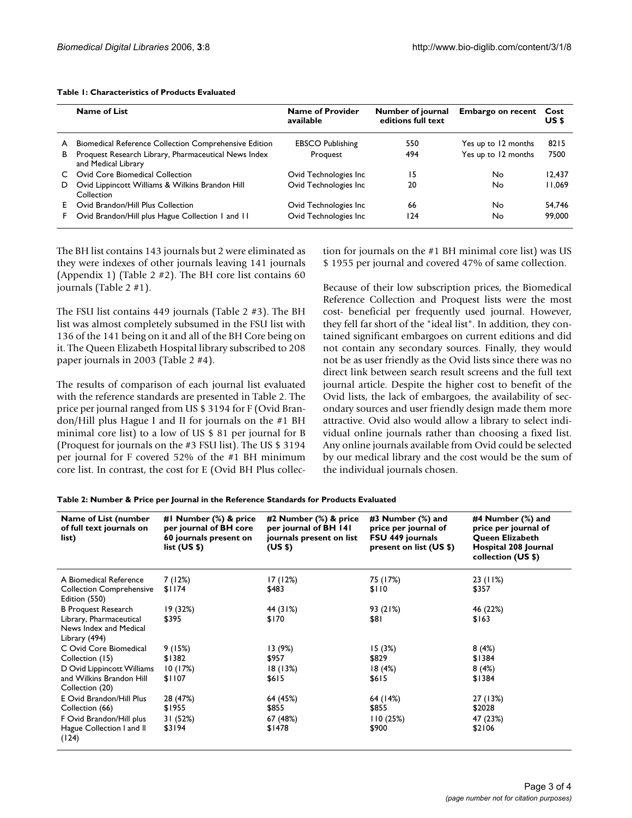|    | Name of List                                                                | <b>Name of Provider</b><br>available | Number of journal<br>editions full text | Embargo on recent Cost | US \$  |
|----|-----------------------------------------------------------------------------|--------------------------------------|-----------------------------------------|------------------------|--------|
| A  | Biomedical Reference Collection Comprehensive Edition                       | <b>EBSCO Publishing</b>              | 550                                     | Yes up to 12 months    | 8215   |
| B  | Proquest Research Library, Pharmaceutical News Index<br>and Medical Library | Proquest                             | 494                                     | Yes up to 12 months    | 7500   |
| C. | Ovid Core Biomedical Collection                                             | Ovid Technologies Inc                | 15                                      | No.                    | 12.437 |
| D. | Ovid Lippincott Williams & Wilkins Brandon Hill<br>Collection               | Ovid Technologies Inc                | 20                                      | No.                    | 11.069 |
|    | Ovid Brandon/Hill Plus Collection                                           | Ovid Technologies Inc                | 66                                      | No.                    | 54.746 |
| F. | Ovid Brandon/Hill plus Hague Collection 1 and 11                            | Ovid Technologies Inc                | 124                                     | No                     | 99,000 |

#### **Table 1: Characteristics of Products Evaluated**

The BH list contains 143 journals but 2 were eliminated as they were indexes of other journals leaving 141 journals (Appendix 1) (Table 2 #2). The BH core list contains 60 journals (Table 2 #1).

The FSU list contains 449 journals (Table 2 #3). The BH list was almost completely subsumed in the FSU list with 136 of the 141 being on it and all of the BH Core being on it. The Queen Elizabeth Hospital library subscribed to 208 paper journals in 2003 (Table 2 #4).

The results of comparison of each journal list evaluated with the reference standards are presented in Table 2. The price per journal ranged from US \$ 3194 for F (Ovid Brandon/Hill plus Hague I and II for journals on the #1 BH minimal core list) to a low of US \$ 81 per journal for B (Proquest for journals on the #3 FSU list). The US \$ 3194 per journal for F covered 52% of the #1 BH minimum core list. In contrast, the cost for E (Ovid BH Plus collection for journals on the #1 BH minimal core list) was US \$ 1955 per journal and covered 47% of same collection.

Because of their low subscription prices, the Biomedical Reference Collection and Proquest lists were the most cost- beneficial per frequently used journal. However, they fell far short of the "ideal list". In addition, they contained significant embargoes on current editions and did not contain any secondary sources. Finally, they would not be as user friendly as the Ovid lists since there was no direct link between search result screens and the full text journal article. Despite the higher cost to benefit of the Ovid lists, the lack of embargoes, the availability of secondary sources and user friendly design made them more attractive. Ovid also would allow a library to select individual online journals rather than choosing a fixed list. Any online journals available from Ovid could be selected by our medical library and the cost would be the sum of the individual journals chosen.

#### **Table 2: Number & Price per Journal in the Reference Standards for Products Evaluated**

| Name of List (number<br>of full text journals on<br>list)                                                              | #I Number (%) & price<br>per journal of BH core<br>60 journals present on<br>list $(US $)$ | #2 Number (%) & price<br>per journal of BH 141<br>journals present on list<br>(US \$) | #3 Number (%) and<br>price per journal of<br>FSU 449 journals<br>present on list (US \$) | #4 Number (%) and<br>price per journal of<br>Queen Elizabeth<br>Hospital 208 Journal<br>collection (US \$) |
|------------------------------------------------------------------------------------------------------------------------|--------------------------------------------------------------------------------------------|---------------------------------------------------------------------------------------|------------------------------------------------------------------------------------------|------------------------------------------------------------------------------------------------------------|
| A Biomedical Reference<br><b>Collection Comprehensive</b><br>Edition (550)                                             | 7(12%)<br>\$1174                                                                           | 17(12%)<br>\$483                                                                      | 75 (17%)<br>\$110                                                                        | 23 (11%)<br>\$357                                                                                          |
| <b>B</b> Proquest Research<br>Library, Pharmaceutical<br>News Index and Medical<br>Library (494)                       | 19 (32%)<br>\$395                                                                          | 44 (31%)<br>\$170                                                                     | 93 (21%)<br>\$81                                                                         | 46 (22%)<br>\$163                                                                                          |
| C Ovid Core Biomedical<br>Collection (15)<br>D Ovid Lippincott Williams<br>and Wilkins Brandon Hill<br>Collection (20) | 9 (15%)<br>\$1382<br>10(17%)<br>\$1107                                                     | 13 (9%)<br>\$957<br>18(13%)<br>\$615                                                  | 15(3%)<br>\$829<br>18(4%)<br>\$615                                                       | 8(4%)<br>\$1384<br>8(4%)<br>\$1384                                                                         |
| E Ovid Brandon/Hill Plus<br>Collection (66)<br>F Ovid Brandon/Hill plus<br>Hague Collection I and II<br>(124)          | 28 (47%)<br>\$1955<br>31 (52%)<br>\$3194                                                   | 64 (45%)<br>\$855<br>67 (48%)<br>\$1478                                               | 64 (14%)<br>\$855<br>110(25%)<br>\$900                                                   | 27 (13%)<br>\$2028<br>47 (23%)<br>\$2106                                                                   |